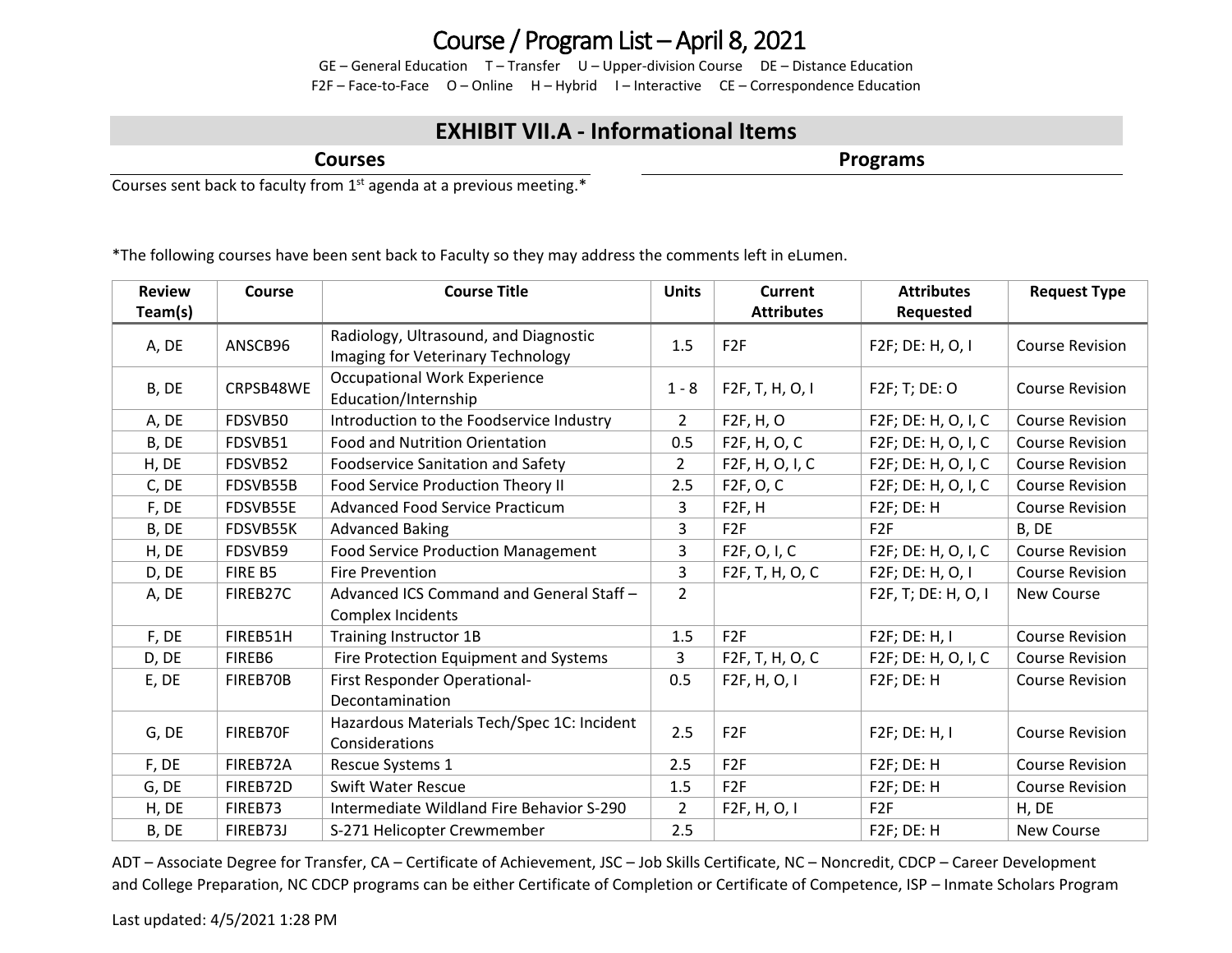## Course / Program List – April 8, 2021

GE – General Education T – Transfer U – Upper-division Course DE – Distance Education F2F – Face-to-Face O – Online H – Hybrid I – Interactive CE – Correspondence Education

## **EXHIBIT VII.A - Informational Items**

**Courses**

**Programs**

Courses sent back to faculty from  $1<sup>st</sup>$  agenda at a previous meeting.\*

\*The following courses have been sent back to Faculty so they may address the comments left in eLumen.

| <b>Review</b> | Course    | <b>Course Title</b>                                                        | <b>Units</b>   | <b>Current</b>         | <b>Attributes</b>   | <b>Request Type</b>    |
|---------------|-----------|----------------------------------------------------------------------------|----------------|------------------------|---------------------|------------------------|
| Team(s)       |           |                                                                            |                | <b>Attributes</b>      | Requested           |                        |
| A, DE         | ANSCB96   | Radiology, Ultrasound, and Diagnostic<br>Imaging for Veterinary Technology | 1.5            | F <sub>2F</sub>        | F2F; DE: H, O, I    | <b>Course Revision</b> |
| B, DE         | CRPSB48WE | <b>Occupational Work Experience</b><br>Education/Internship                | $1 - 8$        | F2F, T, H, O, I        | F2F; T; DE: O       | <b>Course Revision</b> |
| A, DE         | FDSVB50   | Introduction to the Foodservice Industry                                   | $\overline{2}$ | F2F, H, O              | F2F; DE: H, O, I, C | <b>Course Revision</b> |
| B, DE         | FDSVB51   | Food and Nutrition Orientation                                             | 0.5            | F2F, H, O, C           | F2F; DE: H, O, I, C | <b>Course Revision</b> |
| H, DE         | FDSVB52   | <b>Foodservice Sanitation and Safety</b>                                   | $\overline{2}$ | F2F, H, O, I, C        | F2F; DE: H, O, I, C | <b>Course Revision</b> |
| C, DE         | FDSVB55B  | Food Service Production Theory II                                          | 2.5            | F <sub>2</sub> F, O, C | F2F; DE: H, O, I, C | <b>Course Revision</b> |
| F, DE         | FDSVB55E  | <b>Advanced Food Service Practicum</b>                                     | 3              | F2F, H                 | F2F; DE: H          | <b>Course Revision</b> |
| B, DE         | FDSVB55K  | <b>Advanced Baking</b>                                                     | 3              | F <sub>2F</sub>        | F <sub>2F</sub>     | B, DE                  |
| H, DE         | FDSVB59   | <b>Food Service Production Management</b>                                  | 3              | F2F, O, I, C           | F2F; DE: H, O, I, C | <b>Course Revision</b> |
| D, DE         | FIRE B5   | Fire Prevention                                                            | 3              | F2F, T, H, O, C        | F2F; DE: H, O, I    | <b>Course Revision</b> |
| A, DE         | FIREB27C  | Advanced ICS Command and General Staff -<br>Complex Incidents              | $\overline{2}$ |                        | F2F, T; DE: H, O, I | <b>New Course</b>      |
| F, DE         | FIREB51H  | Training Instructor 1B                                                     | 1.5            | F <sub>2F</sub>        | $F2F$ ; DE: H, I    | <b>Course Revision</b> |
| D, DE         | FIREB6    | Fire Protection Equipment and Systems                                      | 3              | F2F, T, H, O, C        | F2F; DE: H, O, I, C | <b>Course Revision</b> |
| E, DE         | FIREB70B  | First Responder Operational-<br>Decontamination                            | 0.5            | F2F, H, O, I           | F2F; DE: H          | <b>Course Revision</b> |
| G, DE         | FIREB70F  | Hazardous Materials Tech/Spec 1C: Incident<br>Considerations               | 2.5            | F <sub>2F</sub>        | F2F; DE: H, I       | <b>Course Revision</b> |
| F, DE         | FIREB72A  | Rescue Systems 1                                                           | 2.5            | F <sub>2F</sub>        | F2F; DE: H          | <b>Course Revision</b> |
| G, DE         | FIREB72D  | <b>Swift Water Rescue</b>                                                  | 1.5            | F <sub>2F</sub>        | F2F; DE: H          | <b>Course Revision</b> |
| H, DE         | FIREB73   | Intermediate Wildland Fire Behavior S-290                                  | $\overline{2}$ | F2F, H, O, I           | F <sub>2F</sub>     | H, DE                  |
| B, DE         | FIREB73J  | S-271 Helicopter Crewmember                                                | 2.5            |                        | F2F; DE: H          | <b>New Course</b>      |

ADT – Associate Degree for Transfer, CA – Certificate of Achievement, JSC – Job Skills Certificate, NC – Noncredit, CDCP – Career Development and College Preparation, NC CDCP programs can be either Certificate of Completion or Certificate of Competence, ISP – Inmate Scholars Program